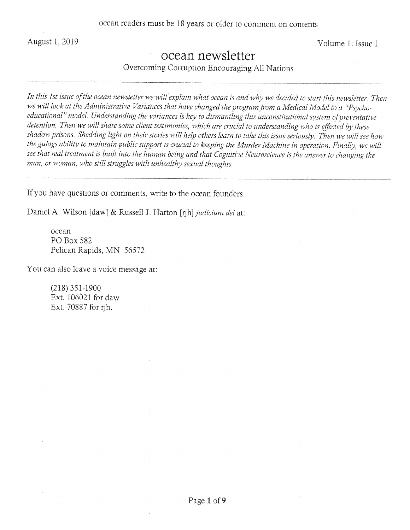August 1, 2019 Volume 1: Issue I

# ocean newsletter

Overcoming Corruption Encouraging All Nations

In this 1st issue of the ocean newsletter we will explain what ocean is and why we decided to start this newsletter. Then *we will look at the Administrative Variances that have changed the program from a Medical Model to a "Psycho*educational" model. Understanding the variances is key to dismantling this unconstitutional system of preventative *detention. Then we will share some client testimonies, which are crucial to understanding who is effected by these shadow prisons. Shedding light on their stories will help others learn to take this issue seriously. Then we will see how the gulags ability to maintain public support is crucial to keeping the Murder Machine in operation. Finally, we will see that real treatment is built into the human being and that Cognitive Neuroscience is the answer to changing the man, or woman, who still struggles with unhealthy sexual thoughts.* 

If you have questions or comments, write to the ocean founders:

Daniel A. Wilson [daw] & Russell J. Hatton [rjh] *judicium dei* at:

ocean P0 Box 582 Pelican Rapids, MN *56572.* 

You can also leave a voice message at:

(218) 351-1900 Ext. 106021 for daw Ext. 70887 for nh.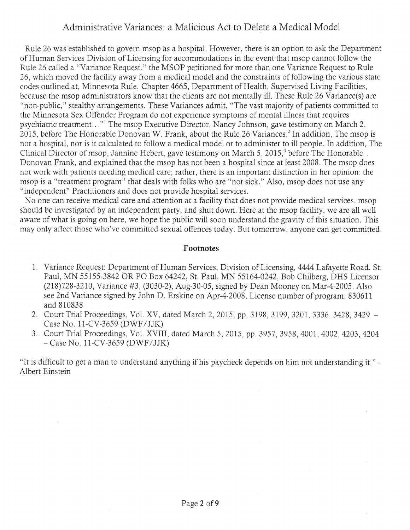## Administrative Variances: a Malicious Act to Delete a Medical Model

Rule 26 was established to govern msop as a hospital. However, there is an option to ask the Department of Human Services Division of Licensing for accommodations in the event that msop cannot follow the Rule 26 called a "Variance Request." the MSOP petitioned for more than one Variance Request to Rule 26, which moved the facility away from a medical model and the constraints of following the various state codes outlined at, Minnesota Rule, Chapter *4665,* Department of Health, Supervised Living Facilities, because the msop administrators know that the clients are not mentally ill. These Rule 26 Variance(s) are "non-public," stealthy arrangements. These Variances admit, "The vast majority of patients committed to the Minnesota Sex Offender Program do not experience symptoms of mental illness that requires psychiatric treatment. . ." The msop Executive Director, Nancy Johnson, gave testimony on March 2, 2015, before The Honorable Donovan W. Frank, about the Rule 26 Variances.<sup>2</sup> In addition, The msop is not a hospital, nor is it calculated to follow a medical model or to administer to ill people. In addition, The Clinical Director of msop, Jannine Hebert, gave testimony on March 5, 2015,<sup>3</sup> before The Honorable Donovan Frank, and explained that the msop has not been a hospital since at least 2008. The msop does not work with patients needing medical care; rather, there is an important distinction in her opinion: the msop is a "treatment program" that deals with folks who are "not sick." Also, msop does not use any "independent" Practitioners and does not provide hospital services.

No one can receive medical care and attention at a facility that does not provide medical services. msop should be investigated by an independent party, and shut down. Here at the msop facility, we are all well aware of what is going on here, we hope the public will soon understand the gravity of this situation. This may only affect those who've committed sexual offences today. But tomorrow, anyone can get committed.

#### **Footnotes**

- Variance Request: Department of Human Services, Division of Licensing, 4444 Lafayette Road, St. Paul, MN *55155-3842* OR P0 Box 64242, St. Paul, MN *55*164-0242, Bob Chilberg, DHS Licensor (218)728-3210, Variance #3, (3030-2), Aug-30-05, signed by Dean Mooney on Mar-4-2005. Also see 2nd Variance signed by John D. Erskine on Apr-4-2008, License number of program: 830611 and 810838
- Court Trial Proceedings, Vol. XV, dated March 2, 2015, pp. 3198, 3199, 3201, 3336, 3428, 3429 Case No. 11-CV-3659 (DWF/JJK)
- Court Trial Proceedings, Vol. XVIII, dated March *5, 2015,* pp. *3957, 3958,* 4001, 4002, 4203, 4204 -Case No. 1 *1-CV-3659* (DWF/JJK)

"It is difficult to get a man to understand anything if his paycheck depends on him not understanding it. Albert Einstein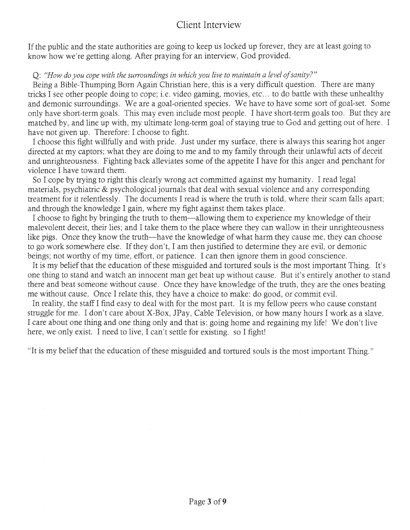## Client Interview

If the public and the state authorities are going to keep us locked up forever, they are at least going to know how we're getting along. After praying for an interview, God provided.

#### Q: "How do you cope with the surroundings in which you live to maintain a level of sanity?"

Being a Bible-Thumping Born Again Christian here, this is a very difficult question. There are many tricks I see other people doing to cope; i.e. video gaming, movies, etc... to do battle with these unhealthy and demonic surroundings. We are a goal-oriented species. We have to have some sort of goal-set. Some only have short-term goals. This may even include most people. I have short-term goals too. But they are matched by, and line up with, my ultimate long-term goal of staying true to God and getting out of here. I have not given up. Therefore: I choose to fight.

I choose this fight willfully and with pride. Just under my surface, there is always this searing hot anger directed at my captors; what they are doing to me and to my family through their unlawful acts of deceit and unrighteousness. Fighting back alleviates some of the appetite I have for this anger and penchant for violence I have toward them.

So I cope by trying to right this clearly wrong act committed against my humanity. I read legal materials, psychiatric & psychological journals that deal with sexual violence and any corresponding treatment for it relentlessly. The documents I read is where the truth is told, where their scam falls apart; and through the knowledge I gain, where my fight against them takes place.

I choose to fight by bringing the truth to them—allowing them to experience my knowledge of their malevolent deceit, their lies; and I take them to the place where they can wallow in their unrighteousness like pigs. Once they know the truth—have the knowledge of what harm they cause me, they can choose to go work somewhere else. If they don't, I am then justified to determine they are evil, or demonic beings; not worthy of my time, effort, or patience. I can then ignore them in good conscience.

It is my belief that the education of these misguided and tortured souls is the most important Thing. It's one thing to stand and watch an innocent man get beat up without cause. But it's entirely another to stand there and beat someone without cause. Once they have knowledge of the truth, they are the ones beating me without cause. Once I relate this, they have a choice to make: do good, or commit evil.

In reality, the staff I find easy to deal with for the most part. It is my fellow peers who cause constant struggle for me. I don't care about X-Box, JPay, Cable Television, or how many hours I work as a slave. I care about one thing and one thing only and that is: going home and regaining my life! We don't live here, we only exist. I need to live, I can't settle for existing. so I fight!

"It is my belief that the education of these misguided and tortured souls is the most important Thing."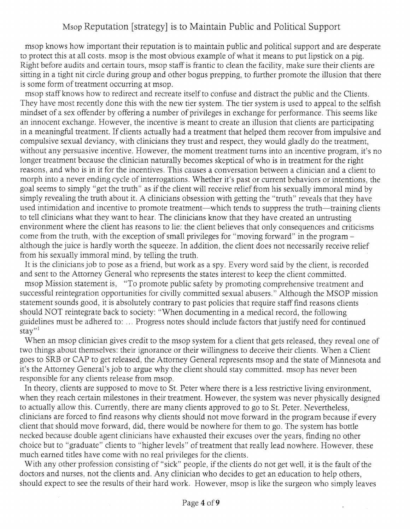## Msop Reputation [strategy] is to Maintain Public and Political Support

msop knows how important their reputation is to maintain public and political support and are desperate to protect this at all costs. msop is the most obvious example of what it means to put lipstick on a pig. Right before audits and certain tours, msop staff is frantic to clean the facility, make sure their clients are sitting in a tight nit circle during group and other bogus prepping, to further promote the illusion that there is some form of treatment occurring at msop.

msop staff knows how to redirect and recreate itself to confuse and distract the public and the Clients. They have most recently done this with the new tier system. The tier system is used to appeal to the selfish mindset of a sex offender by offering a number of privileges in exchange for performance. This seems like an innocent exchange. However, the incentive is meant to create an illusion that clients are participating in a meaningful treatment. If clients actually had a treatment that helped them recover from impulsive and compulsive sexual deviancy, with clinicians they trust and respect, they would gladly do the treatment, without any persuasive incentive. However, the moment treatment turns into an incentive program, it's no longer treatment because the clinician naturally becomes skeptical of who is in treatment for the right reasons, and who is in it for the incentives. This causes a conversation between a clinician and a client to morph into a never ending cycle of interrogations. Whether it's past or current behaviors or intentions, the goal seems to simply "get the truth" as if the client will receive relief from his sexually immoral mind by simply revealing the truth about it. A clinicians obsession with getting the "truth" reveals that they have used intimidation and incentive to promote treatment—which tends to suppress the truth—training clients to tell clinicians what they want to hear. The clinicians know that they have created an untrusting environment where the client has reasons to lie: the client believes that only consequences and criticisms come from the truth, with the exception of small privileges for "moving forward" in the program although the juice is hardly worth the squeeze. In addition, the client does not necessarily receive relief from his sexually immoral mind, by telling the truth.

It is the clinicians job to pose as a friend, but work as a spy. Every word said by the client, is recorded and sent to the Attorney General who represents the states interest to keep the client committed. msop Mission statement is, "To promote public safety by promoting comprehensive treatment and successful reintegration opportunities for civilly committed sexual abusers." Although the MSOP mission statement sounds good, it is absolutely contrary to past policies that require staff find reasons clients should NOT reintegrate back to society: "When documenting in a medical record, the following guidelines must be adhered to: ... Progress notes should include factors that justify need for continued  $star"$ <sup>1</sup>

When an msop clinician gives credit to the msop system for a client that gets released, they reveal one of two things about themselves: their ignorance or their willingness to deceive their clients. When a Client goes to SRB or CAP to get released, the Attorney General represents msop and the state of Minnesota and it's the Attorney General's job to argue why the client should stay committed. msop has never been responsible for any clients release from msop.

In theory, clients are supposed to move to St. Peter where there is a less restrictive living environment, when they reach certain milestones in their treatment. However, the system was never physically designed to actually allow this. Currently, there are many clients approved to go to St. Peter. Nevertheless, clinicians are forced to find reasons why clients should not move forward in the program because if every client that should move forward, did, there would be nowhere for them to go. The system has bottle necked because double agent clinicians have exhausted their excuses over the years, finding no other choice but to "graduate" clients to "higher levels" of treatment that really lead nowhere. However, these much earned titles have come with no real privileges for the clients.

With any other profession consisting of "sick" people, if the clients do not get well, it is the fault of the doctors and nurses, not the clients and. Any clinician who decides to get an education to help others, should expect to see the results of their hard work. However, msop is like the surgeon who simply leaves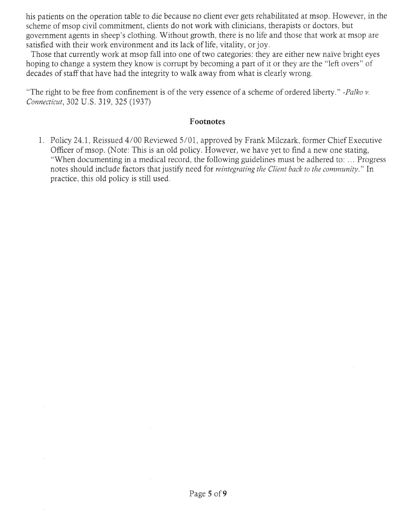his patients on the operation table to die because no client ever gets rehabilitated at msop. However, in the scheme of msop civil commitment, clients do not work with clinicians, therapists or doctors, but government agents in sheep's clothing. Without growth, there is no life and those that work at msop are satisfied with their work environment and its lack of life, vitality, or joy.

Those that currently work at msop fall into one of two categories: they are either new naïve bright eyes hoping to change a system they know is corrupt by becoming a part of it or they are the "left overs" of decades of staff that have had the integrity to walk away from what is clearly wrong.

"The right to be free from confinement is of the very essence of a scheme of ordered liberty." *-Palko v. Connecticut, 302 U.S. 319, 325 (1937)* 

#### **Footnotes**

Policy *24.* 1, Reissued 4/00 Reviewed *5/01,* approved by Frank Milczark, former Chief Executive Officer of msop. (Note: This is an old policy. However, we have yet to find a new one stating, "When documenting in a medical record, the following guidelines must be adhered to: . Progress notes should include factors that justify need for *reintegrating the Client back to the community."* In practice, this old policy is still used.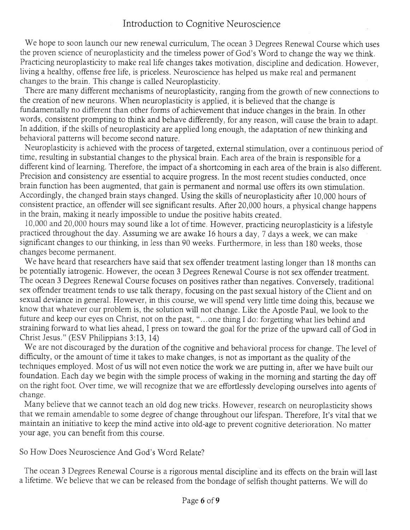We hope to soon launch our new renewal curriculum, The ocean 3 Degrees Renewal Course which uses the proven science of neuroplasticity and the timeless power of God's Word to change the way we think. Practicing neuroplasticity to make real life changes takes motivation, discipline and dedication. However, living a healthy, offense free life, is priceless. Neuroscience has helped us make real and permanent changes to the brain. This change is called Neuroplasticity.

There are many different mechanisms of neuroplasticity, ranging from the growth of new connections to the creation of new neurons. When neuroplasticity is applied, it is believed that the change is fundamentally no different than other forms of achievement that induce changes in the brain. In other words, consistent prompting to think and behave differently, for any reason, will cause the brain to adapt. In addition, if the skills of neuroplasticity are applied long enough, the adaptation of new thinking and behavioral patterns will become second nature.

Neuroplasticity is achieved with the process of targeted, external stimulation, over a continuous period of time, resulting in substantial changes to the physical brain. Each area of the brain is responsible for a different kind of learning. Therefore, the impact of a shortcoming in each area of the brain is also different. Precision and consistency are essential to acquire progress. In the most recent studies conducted, once brain function has been augmented, that gain is permanent and normal use offers its own stimulation. Accordingly, the changed brain stays changed. Using the skills of neuroplasticity after 10,000 hours of consistent practice, an offender will see significant results. After 20,000 hours, a physical change happens in the brain, making it nearly impossible to undue the positive habits created.

10,000 and 20,000 hours may sound like a lot of time. However, practicing neuroplasticity is a lifestyle practiced throughout the day. Assuming we are awake 16 hours a day, 7 days a week, we can make significant changes to our thinking, in less than 90 weeks. Furthermore, in less than 180 weeks, those changes become permanent.

We have heard that researchers have said that sex offender treatment lasting longer than 18 months can be potentially iatrogenic. However, the ocean 3 Degrees Renewal Course is not sex offender treatment. The ocean 3 Degrees Renewal Course focuses on positives rather than negatives. Conversely, traditional sex offender treatment tends to use talk therapy, focusing on the past sexual history of the Client and on sexual deviance in general. However, in this course, we will spend very little time doing this, because we know that whatever our problem is, the solution will not change. Like the Apostle Paul, we look to the future and keep our eyes on Christ, not on the past, "...one thing I do: forgetting what lies behind and straining forward to what lies ahead, I press on toward the goal for the prize of the upward call of God in Christ Jesus." (ESV Philippians 3:13, 14)

We are not discouraged by the duration of the cognitive and behavioral process for change. The level of difficulty, or the amount of time it takes to make changes, is not as important as the quality of the techniques employed. Most of us will not even notice the work we are putting in, after we have built our foundation. Each day we begin with the simple process of waking in the morning and starting the day off on the right foot. Over time, we will recognize that we are effortlessly developing ourselves into agents of change.

Many believe that we cannot teach an old dog new tricks. However, research on neuroplasticity shows that we remain amendable to some degree of change throughout our lifespan. Therefore, It's vital that we maintain an initiative to keep the mind active into old-age to prevent cognitive deterioration. No matter your age, you can benefit from this course.

So How Does Neuroscience And God's Word Relate?

The ocean 3 Degrees Renewal Course is a rigorous mental discipline and its effects on the brain will last a lifetime. We believe that we can be released from the bondage of selfish thought patterns. We will do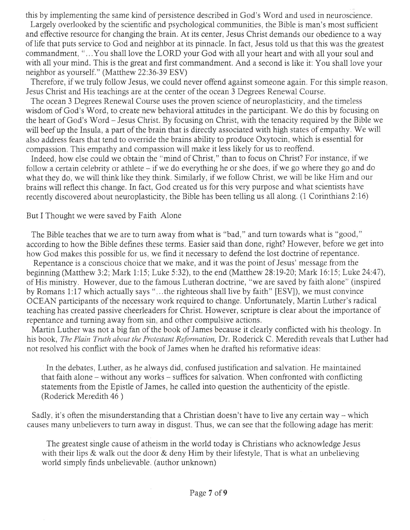this by implementing the same kind of persistence described in God's Word and used in neuroscience.

Largely overlooked by the scientific and psychological communities, the Bible is man's most sufficient and effective resource for changing the brain. At its center, Jesus Christ demands our obedience to a way of life that puts service to God and neighbor at its pinnacle. In fact, Jesus told us that this was the greatest commandment, "...You shall love the LORD your God with all your heart and with all your soul and with all your mind. This is the great and first commandment. And a second is like it: You shall love your neighbor as yourself." (Matthew 22:36-39 ESV)

Therefore, if we truly follow Jesus, we could never offend against someone again. For this simple reason, Jesus Christ and His teachings are at the center of the ocean 3 Degrees Renewal Course.

The ocean 3 Degrees Renewal Course uses the proven science of neuroplasticity, and the timeless wisdom of God's Word, to create new behavioral attitudes in the participant. We do this by focusing on the heart of God's Word - Jesus Christ. By focusing on Christ, with the tenacity required by the Bible we will beef up the Insula, a part of the brain that is directly associated with high states of empathy. We will also address fears that tend to override the brains ability to produce Oxytocin, which is essential for compassion. This empathy and compassion will make it less likely for us to reoffend.

Indeed, how else could we obtain the "mind of Christ," than to focus on Christ? For instance, if we follow a certain celebrity or athlete - if we do everything he or she does, if we go where they go and do what they do, we will think like they think. Similarly, if we follow Christ, we will be like Him and our brains will reflect this change. In fact, God created us for this very purpose and what scientists have recently discovered about neuroplasticity, the Bible has been telling us all along. (1 Corinthians 2:16)

But I Thought we were saved by Faith Alone

The Bible teaches that we are to turn away from what is "bad," and turn towards what is "good," according to how the Bible defines these terms. Easier said than done, right? However, before we get into how God makes this possible for us, we find it necessary to defend the lost doctrine of repentance.

Repentance is a conscious choice that we make, and it was the point of Jesus' message from the beginning (Matthew 3:2; Mark *1:15;* Luke 5:32), to the end (Matthew 28:19-20; Mark 16:15; Luke 24:47), of His ministry. However, due to the famous Lutheran doctrine, "we are saved by faith alone" (inspired by Romans 1:17 which actually says "...the righteous shall live by faith" [ESV]), we must convince OCEAN participants of the necessary work required to change. Unfortunately, Martin Luther's radical teaching has created passive cheerleaders for Christ. However, scripture is clear about the importance of repentance and turning away from sin, and other compulsive actions.

Martin Luther was not a big fan of the book of James because it clearly conflicted with his theology. In his book, *The Plain Truth about the Protestant Reformation,* Dr. Roderick C. Meredith reveals that Luther had not resolved his conflict with the book of James when he drafted his reformative ideas:

In the debates, Luther, as he always did, confused justification and salvation. He maintained that faith alone - without any works - suffices for salvation. When confronted with conflicting statements from the Epistle of James, he called into question the authenticity of the epistle. (Roderick Meredith 46)

Sadly, it's often the misunderstanding that a Christian doesn't have to live any certain way - which causes many unbelievers to turn away in disgust. Thus, we can see that the following adage has merit:

The greatest single cause of atheism in the world today is Christians who acknowledge Jesus with their lips & walk out the door & deny Him by their lifestyle, That is what an unbelieving world simply finds unbelievable. (author unknown)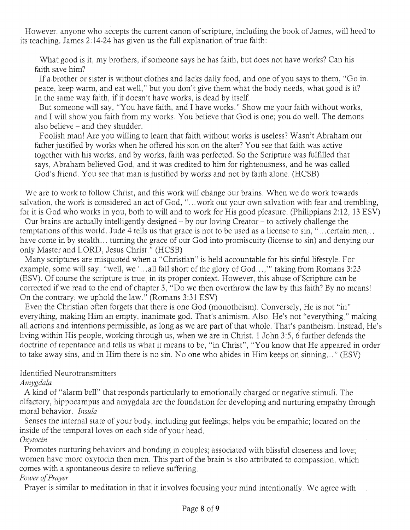However, anyone who accepts the current canon of scripture, including the book of James, will heed to its teaching. James 2:14-24 has given us the full explanation of true faith:

What good is it, my brothers, if someone says he has faith, but does not have works? Can his faith save him?

If a brother or sister is without clothes and lacks daily food, and one of you says to them, "Go in peace, keep warm, and eat well," but you don't give them what the body needs, what good is it? In the same way faith, if it doesn't have works, is dead by itself.

But someone will say, "You have faith, and I have works." Show me your faith without works, and I will show you faith from my works. You believe that God is one; you do well. The demons also believe - and they shudder.

Foolish man! Are you willing to learn that faith without works is useless? Wasn't Abraham our father justified by works when he offered his son on the alter? You see that faith was active together with his works, and by works, faith was perfected. So the Scripture was fulfilled that says, Abraham believed God, and it was credited to him for righteousness, and he was called God's friend. You see that man is justified by works and not by faith alone. (HCSB)

We are to work to follow Christ, and this work will change our brains. When we do work towards salvation, the work is considered an act of God, "...work out your own salvation with fear and trembling, for it is God who works in you, both to will and to work for His good pleasure. (Philippians 2:12, 13 ESV)

Our brains are actually intelligently designed - by our loving Creator - to actively challenge the temptations of this world. Jude 4 tells us that grace is not to be used as a license to sin, "...certain men... have come in by stealth... turning the grace of our God into promiscuity (license to sin) and denying our only Master and LORD, Jesus Christ." (HCSB)

Many scriptures are misquoted when a "Christian" is held accountable for his sinful lifestyle. For example, some will say, "well, we '...all fall short of the glory of God...," taking from Romans 3:23 (ESV). Of course the scripture is true, in its proper context. However, this abuse of Scripture can be corrected if we read to the end of chapter 3, "Do we then overthrow the law by this faith? By no means! On the contrary, we uphold the law." (Romans 3:31 ESV)

Even the Christian often forgets that there is one God (monotheism). Conversely, He is not "in" everything, making Him an empty, inanimate god. That's animism. Also, He's not "everything," making all actions and intentions permissible, as long as we are part of that whole. That's pantheism. Instead, He's living within His people, working through us, when we are in Christ. 1 John 3:5, 6 further defends the doctrine of repentance and tells us what it means to be, "in Christ", "You know that He appeared in order to take away sins, and in Him there is no sin. No one who abides in Him keeps on sinning..." (ESV)

### Identified Neurotransmitters

*A mygdala* 

A kind of "alarm bell" that responds particularly to emotionally charged or negative stimuli. The olfactory, hippocampus and amygdala are the foundation for developing and nurturing empathy through moral behavior. *Insula* 

Senses the internal state of your body, including gut feelings; helps you be empathic; located on the inside of the temporal loves on each side of your head. *Oxytocin* 

Promotes nurturing behaviors and bonding in couples; associated with blissful closeness and love; women have more oxytocin then men. This part of the brain is also attributed to compassion, which comes with a spontaneous desire to relieve suffering.

#### *Power of Prayer*

Prayer is similar to meditation in that it involves focusing your mind intentionally. We agree with